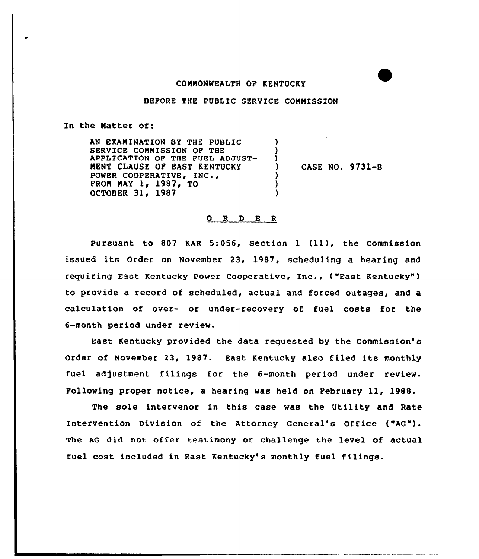## CONNONWEALTH OF KENTUCKY

## BEFORE THE PUBLIC SERVICE COMMISSION

 $\lambda$ ) )

> ) ) )

In the Natter of:

AN EXAMINATION BY THE PUBLIC SERVICE COMMISSION OF THE APPLICATION OF THE PUEL ADJUST-MENT CLAUSE OF EAST KENTUCKY POWER COOPERATIVE, INC., FROM MAY  $1, 1987, T0$ OCTOBER 31, 1987

) CASE NO. 9731-B

## 0 R <sup>D</sup> <sup>E</sup> <sup>R</sup>

Pursuant to 807 KAR 5:056, Section <sup>1</sup> (11), the Commission issued its Order on November 23, 1987, scheduling a hearing and requiring East Kentucky Power Cooperative, Inc., ("East Kentucky") to provide a record of scheduled, actual and forced outages, and a calculation of over- or under-recovery of fuel costs for the 6-month period under review.

East Kentucky provided the data reguested by the Commission's Order of November 23, 1987. East Kentucky also filed its monthly fuel adjustment filings for the 6-month period under review. Following proper notice, a hearing was held on February 11, 1988.

The sole intervenor in this case was the Utility and Rate Intervention Division of the Attorney General's Office ("AG"). The AG did not offer testimony or challenge the level of actual fuel cost included in East Kentucky's monthly fuel filings.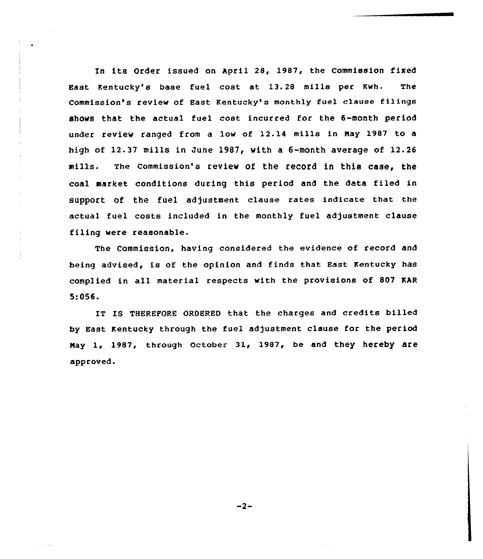In its Order issued on April 28, 1987, the Commission fixed East Kentucky's base fuel cost at 13.28 mills per Kwh. The Commission's review of East Kentucky's monthly fuel clause filings shows that the actual fuel cost. incurred for the 6-month period under review ranged from a low of 12.14 mills in May 1987 to a high of 12.37 mills in June 1987< with a 6-month average of 12.26 mills. The commission's review of the record in this case, the coal market conditions during this period and the data filed in support of the fuel adjustment clause rates indicate that the actual fuel costs included in the monthly fuel adjustment clause filing were reasonable.

The Commission, having considered the evidence of record and being advised, is of the opinion and finds that East Kentucky has complied in all material respects with the provisions of 807 KAR 5:056.

IT IS THEREFORE ORDERED that the charges and credits billed by East Kentucky through the fuel adjustment clause for the period May 1, 1987, through october 31, 1987, be and they hereby are approved.

 $-2-$ 

and states